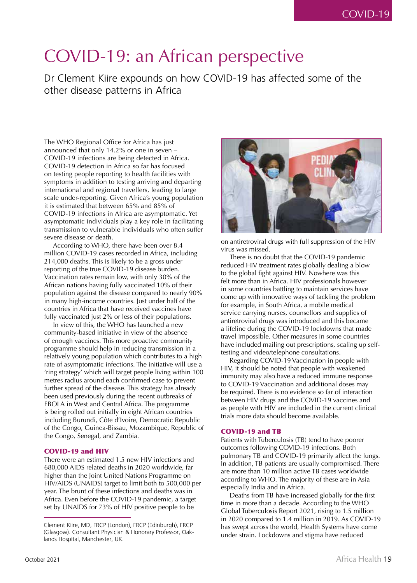## COVID-19: an African perspective

Dr Clement Kiire expounds on how COVID-19 has affected some of the other disease patterns in Africa

The WHO Regional Office for Africa has just announced that only 14.2% or one in seven – COVID-19 infections are being detected in Africa. COVID-19 detection in Africa so far has focused on testing people reporting to health facilities with symptoms in addition to testing arriving and departing international and regional travellers, leading to large scale under-reporting. Given Africa's young population it is estimated that between 65% and 85% of COVID-19 infections in Africa are asymptomatic. Yet asymptomatic individuals play a key role in facilitating transmission to vulnerable individuals who often suffer severe disease or death.

According to WHO, there have been over 8.4 million COVID-19 cases recorded in Africa, including 214,000 deaths. This is likely to be a gross under reporting of the true COVID-19 disease burden. Vaccination rates remain low, with only 30% of the African nations having fully vaccinated 10% of their population against the disease compared to nearly 90% in many high-income countries. Just under half of the countries in Africa that have received vaccines have fully vaccinated just 2% or less of their populations.

In view of this, the WHO has launched a new community-based initiative in view of the absence of enough vaccines. This more proactive community programme should help in reducing transmission in a relatively young population which contributes to a high rate of asymptomatic infections. The initiative will use a 'ring strategy' which will target people living within 100 metres radius around each confirmed case to prevent further spread of the disease. This strategy has already been used previously during the recent outbreaks of EBOLA in West and Central Africa. The programme is being rolled out initially in eight African countries including Burundi, Côte d'Ivoire, Democratic Republic of the Congo, Guinea-Bissau, Mozambique, Republic of the Congo, Senegal, and Zambia.

## COVID-19 and HIV

There were an estimated 1.5 new HIV infections and 680,000 AIDS related deaths in 2020 worldwide, far higher than the Joint United Nations Programme on HIV/AIDS (UNAIDS) target to limit both to 500,000 per year. The brunt of these infections and deaths was in Africa. Even before the COVID-19 pandemic, a target set by UNAIDS for 73% of HIV positive people to be



on antiretroviral drugs with full suppression of the HIV virus was missed.

There is no doubt that the COVID-19 pandemic reduced HIV treatment rates globally dealing a blow to the global fight against HIV. Nowhere was this felt more than in Africa. HIV professionals however in some countries battling to maintain services have come up with innovative ways of tackling the problem for example, in South Africa, a mobile medical service carrying nurses, counsellors and supplies of antiretroviral drugs was introduced and this became a lifeline during the COVID-19 lockdowns that made travel impossible. Other measures in some countries have included mailing out prescriptions, scaling up selftesting and video/telephone consultations.

Regarding COVID-19 Vaccination in people with HIV, it should be noted that people with weakened immunity may also have a reduced immune response to COVID-19 Vaccination and additional doses may be required. There is no evidence so far of interaction between HIV drugs and the COVID-19 vaccines and as people with HIV are included in the current clinical trials more data should become available.

## COVID-19 and TB

Patients with Tuberculosis (TB) tend to have poorer outcomes following COVID-19 infections. Both pulmonary TB and COVID-19 primarily affect the lungs. In addition, TB patients are usually compromised. There are more than 10 million active TB cases worldwide according to WHO. The majority of these are in Asia especially India and in Africa.

Deaths from TB have increased globally for the first time in more than a decade. According to the WHO Global Tuberculosis Report 2021, rising to 1.5 million in 2020 compared to 1.4 million in 2019. As COVID-19 has swept across the world, Health Systems have come under strain. Lockdowns and stigma have reduced

Clement Kiire, MD, FRCP (London), FRCP (Edinburgh), FRCP (Glasgow). Consultant Physician & Honorary Professor, Oaklands Hospital, Manchester, UK.